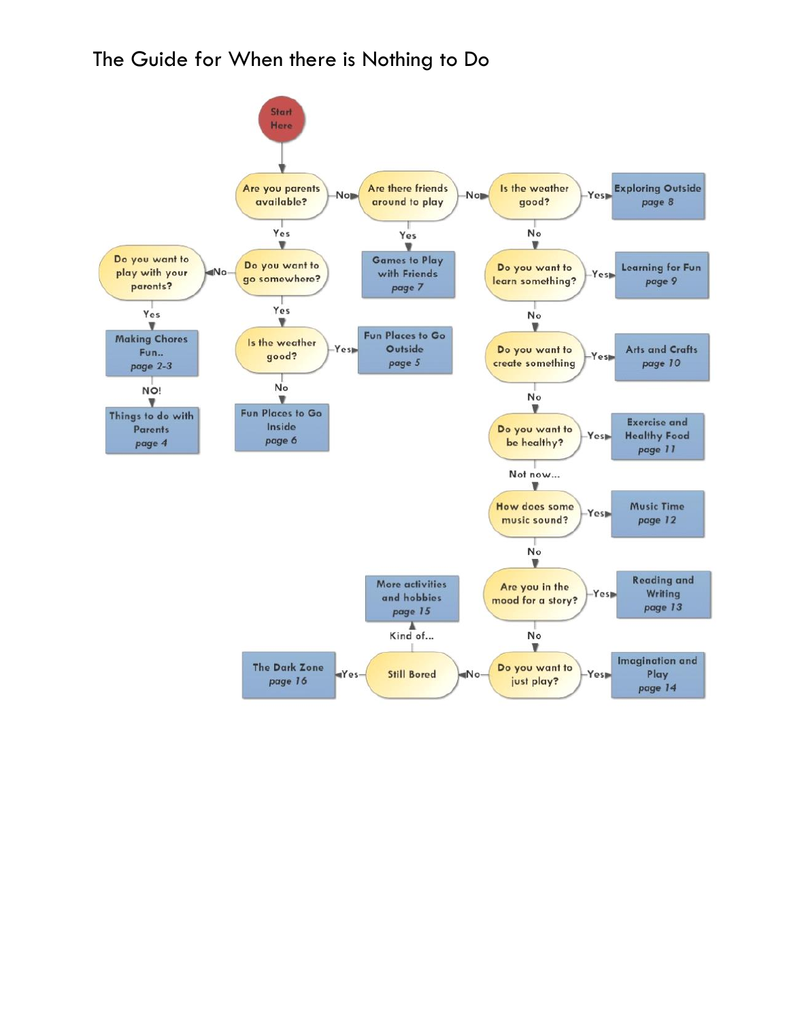### The Guide for When there is Nothing to Do

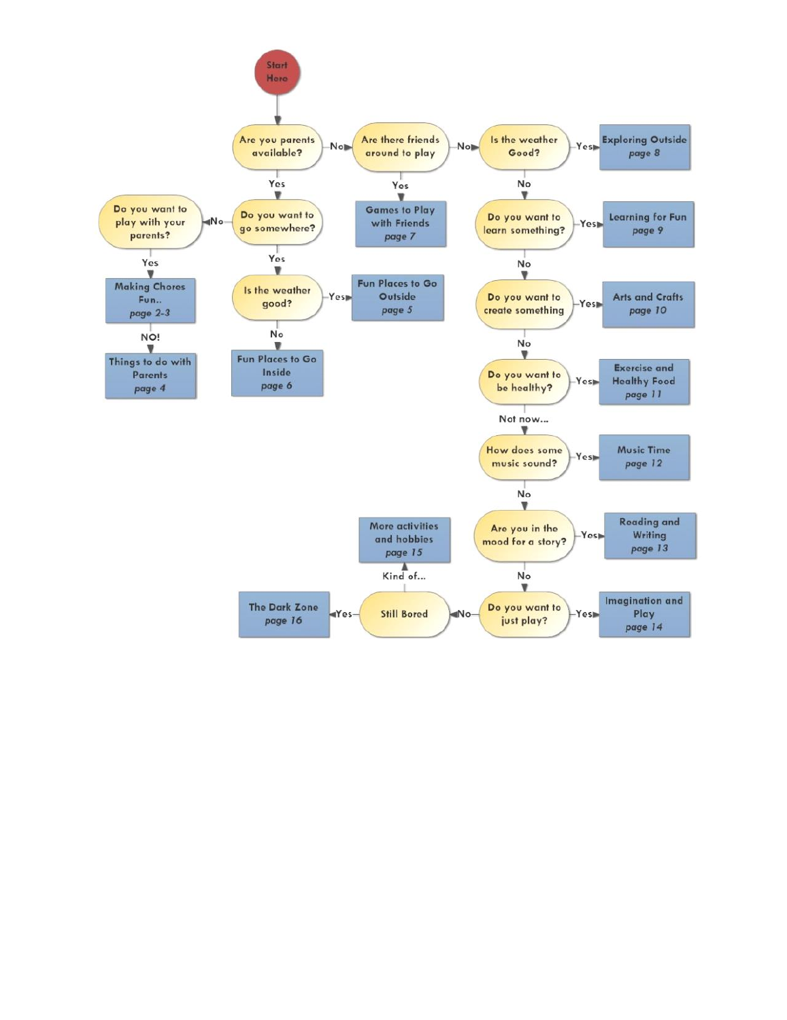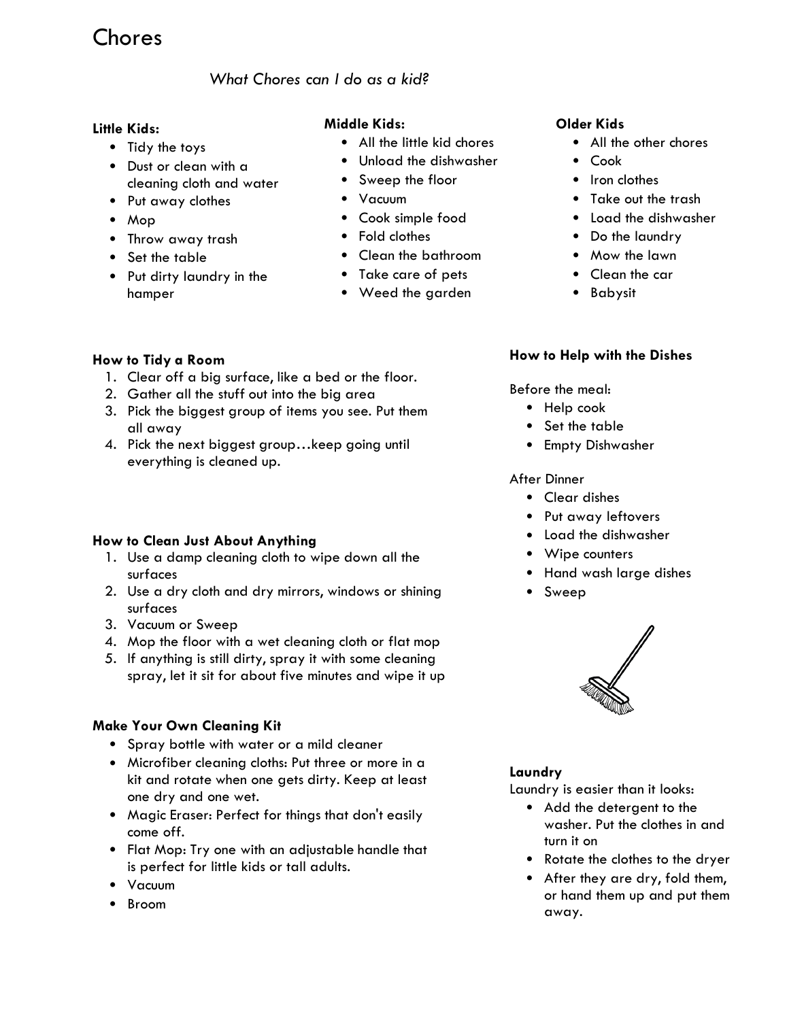### Chores

### *What Chores can I do as a kid?*

#### **Little Kids:**

- Tidy the toys
- Dust or clean with a cleaning cloth and water
- Put away clothes
- Mop
- Throw away trash
- Set the table
- Put dirty laundry in the hamper

### **Middle Kids:**

- All the little kid chores
- Unload the dishwasher
- Sweep the floor
- Vacuum
- Cook simple food
- Fold clothes
- Clean the bathroom
- Take care of pets
- Weed the garden

#### **Older Kids**

- All the other chores
- Cook
- Iron clothes
- Take out the trash
- Load the dishwasher
- Do the laundry
- Mow the lawn
- Clean the car
- Babysit

#### **How to Tidy a Room**

- 1. Clear off a big surface, like a bed or the floor.
- 2. Gather all the stuff out into the big area
- 3. Pick the biggest group of items you see. Put them all away
- 4. Pick the next biggest group... keep going until everything is cleaned up.

#### **How to Clean Just About Anything**

- 1. Use a damp cleaning cloth to wipe down all the surfaces
- 2. Use a dry cloth and dry mirrors, windows or shining surfaces
- 3. Vacuum or Sweep
- 4. Mop the floor with a wet cleaning cloth or flat mop
- 5. If anything is still dirty, spray it with some cleaning spray, let it sit for about five minutes and wipe it up

#### **Make Your Own Cleaning Kit**

- Spray bottle with water or a mild cleaner
- Microfiber cleaning cloths: Put three or more in a kit and rotate when one gets dirty. Keep at least one dry and one wet.
- Magic Eraser: Perfect for things that don't easily come off.
- Flat Mop: Try one with an adjustable handle that is perfect for little kids or tall adults.
- Vacuum
- Broom

#### **How to Help with the Dishes**

Before the meal:

- Help cook
- Set the table
- Empty Dishwasher

#### After Dinner

- Clear dishes
- Put away leftovers
- Load the dishwasher
- Wipe counters
- Hand wash large dishes
- Sweep



#### **Laundry**

Laundry is easier than it looks:

- Add the detergent to the washer. Put the clothes in and turn it on
- Rotate the clothes to the dryer
- After they are dry, fold them, or hand them up and put them away.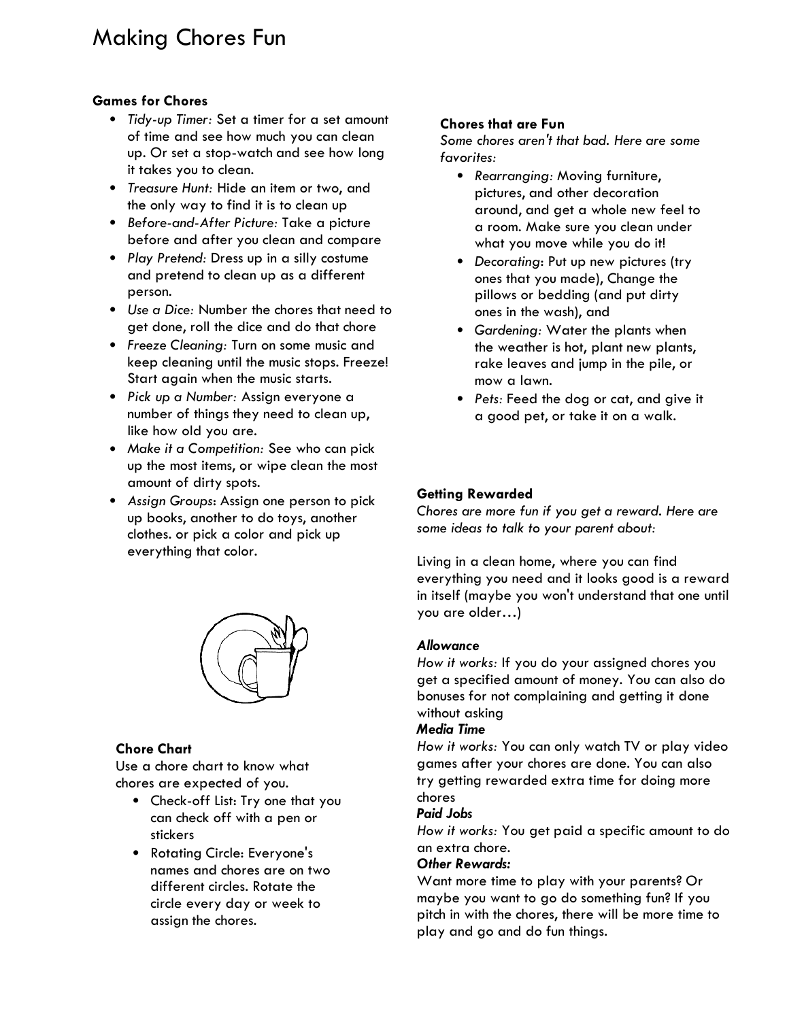### Making Chores Fun

#### **Games for Chores**

- *Tidy-up Timer:* Set a timer for a set amount of time and see how much you can clean up. Or set a stop-watch and see how long it takes you to clean.
- *Treasure Hunt:* Hide an item or two, and the only way to find it is to clean up
- *Before-and-After Picture:* Take a picture before and after you clean and compare
- *Play Pretend:* Dress up in a silly costume and pretend to clean up as a different person.
- *Use a Dice:* Number the chores that need to get done, roll the dice and do that chore
- *Freeze Cleaning:* Turn on some music and keep cleaning until the music stops. Freeze! Start again when the music starts.
- *Pick up a Number:* Assign everyone a number of things they need to clean up, like how old you are.
- *Make it a Competition:* See who can pick up the most items, or wipe clean the most amount of dirty spots.
- *Assign Groups*: Assign one person to pick up books, another to do toys, another clothes. or pick a color and pick up everything that color.



#### **Chore Chart**

Use a chore chart to know what chores are expected of you.

- Check-off List: Try one that you can check off with a pen or stickers
- Rotating Circle: Everyone's names and chores are on two different circles. Rotate the circle every day or week to assign the chores.

#### **Chores that are Fun**

*Some chores aren't that bad. Here are some favorites:*

- *Rearranging:* Moving furniture, pictures, and other decoration around, and get a whole new feel to a room. Make sure you clean under what you move while you do it!
- **•** Decorating: Put up new pictures (try ones that you made), Change the pillows or bedding (and put dirty ones in the wash), and
- *Gardening:* Water the plants when the weather is hot, plant new plants, rake leaves and jump in the pile, or mow a lawn.
- *Pets:* Feed the dog or cat, and give it a good pet, or take it on a walk.

#### **Getting Rewarded**

*Chores are more fun if you get a reward. Here are some ideas to talk to your parent about:* 

Living in a clean home, where you can find everything you need and it looks good is a reward in itself (maybe you won't understand that one until you are older…)

#### *Allowance*

*How it works:* If you do your assigned chores you get a specified amount of money. You can also do bonuses for not complaining and getting it done without asking

#### *Media Time*

*How it works:* You can only watch TV or play video games after your chores are done. You can also try getting rewarded extra time for doing more chores

#### *Paid Jobs*

*How it works:* You get paid a specific amount to do an extra chore.

#### *Other Rewards:*

Want more time to play with your parents? Or maybe you want to go do something fun? If you pitch in with the chores, there will be more time to play and go and do fun things.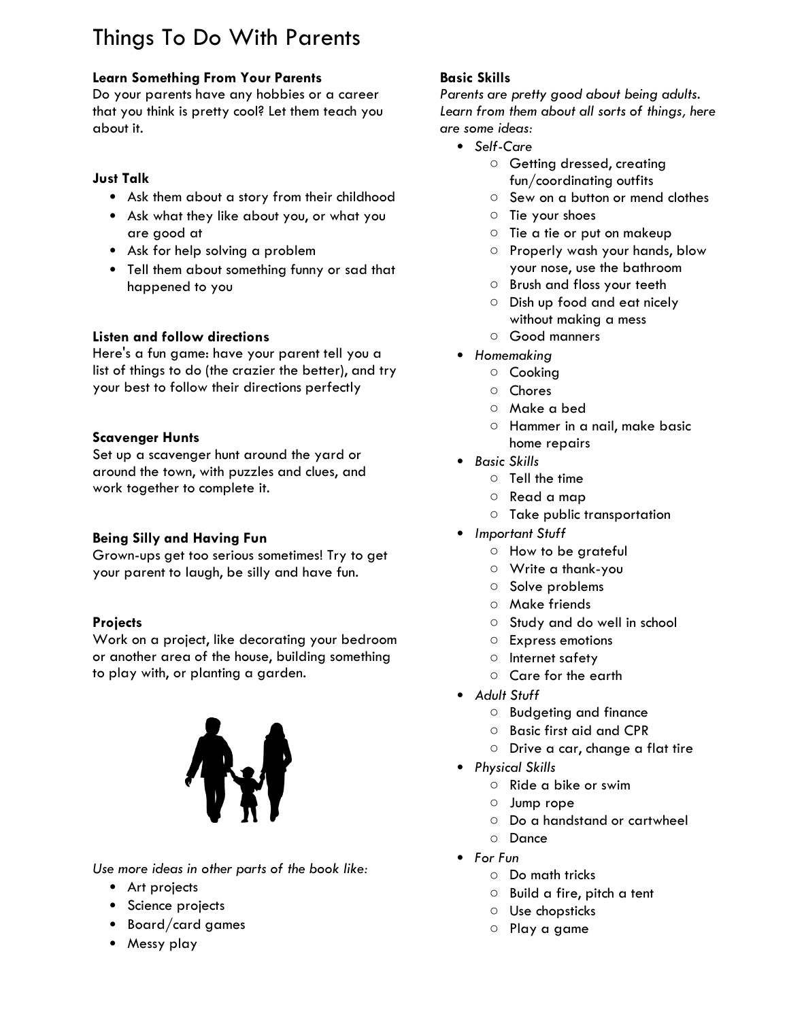# Things To Do With Parents

### **Learn Something From Your Parents**

Do your parents have any hobbies or a career that you think is pretty cool? Let them teach you about it.

### **Just Talk**

- Ask them about a story from their childhood
- Ask what they like about you, or what you are good at
- Ask for help solving a problem
- Tell them about something funny or sad that happened to you

### **Listen and follow directions**

Here's a fun game: have your parent tell you a list of things to do (the crazier the better), and try your best to follow their directions perfectly

### **Scavenger Hunts**

Set up a scavenger hunt around the yard or around the town, with puzzles and clues, and work together to complete it.

### **Being Silly and Having Fun**

Grown-ups get too serious sometimes! Try to get your parent to laugh, be silly and have fun.

### **Projects**

Work on a project, like decorating your bedroom or another area of the house, building something to play with, or planting a garden.



*Use more ideas in other parts of the book like:*

- Art projects
- Science projects
- Board/card games
- Messy play

### **Basic Skills**

*Parents are pretty good about being adults. Learn from them about all sorts of things, here are some ideas:*

- *Self-Care*
	- Getting dressed, creating fun/coordinating outfits
	- Sew on a button or mend clothes
	- Tie your shoes
	- Tie a tie or put on makeup
	- Properly wash your hands, blow your nose, use the bathroom
	- Brush and floss your teeth
	- o Dish up food and eat nicely without making a mess
	- Good manners
- *Homemaking*
	- Cooking
		- Chores
		- Make a bed
	- Hammer in a nail, make basic home repairs
- *Basic Skills*
	- Tell the time
	- Read a map
	- Take public transportation
- *Important Stuff*
	- How to be arateful
	- Write a thank-you
	- Solve problems
	- Make friends
	- Study and do well in school
	- Express emotions
	- Internet safety
	- Care for the earth
- *Adult Stuff*
	- Budgeting and finance
	- Basic first aid and CPR
	- Drive a car, change a flat tire
- *Physical Skills*
	- Ride a bike or swim
	- Jump rope
	- Do a handstand or cartwheel
	- Dance
- *For Fun*
	- Do math tricks
	- Build a fire, pitch a tent
	- Use chopsticks
	- Play a game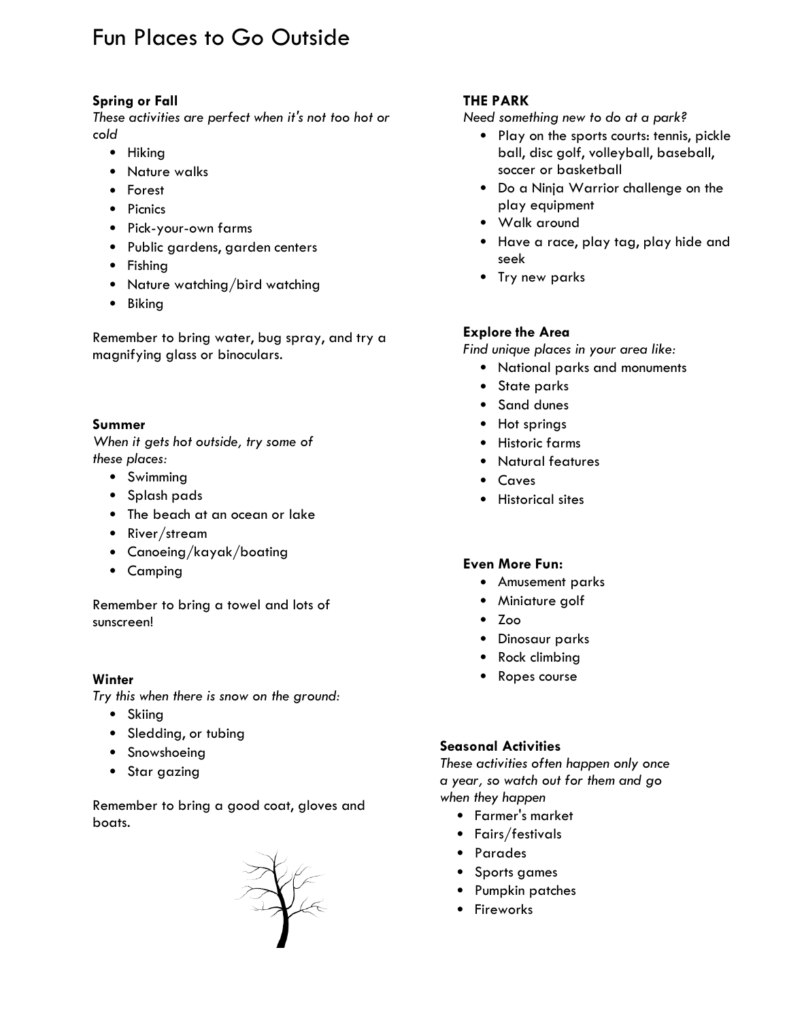### Fun Places to Go Outside

#### **Spring or Fall**

*These activities are perfect when it's not too hot or cold* 

- Hiking
- Nature walks
- Forest
- Picnics
- Pick-your-own farms
- Public gardens, garden centers
- Fishing
- Nature watching/bird watching
- Biking

Remember to bring water, bug spray, and try a magnifying glass or binoculars.

#### **Summer**

*When it gets hot outside, try some of these places:* 

- Swimming
- Splash pads
- The beach at an ocean or lake
- River/stream
- Canoeing/kayak/boating
- Camping

Remember to bring a towel and lots of sunscreen!

#### **Winter**

*Try this when there is snow on the ground:*

- Skiing
- Sledding, or tubing
- Snowshoeing
- Star gazing

Remember to bring a good coat, gloves and boats.



### **THE PARK**

*Need something new to do at a park?*

- Play on the sports courts: tennis, pickle ball, disc golf, volleyball, baseball, soccer or basketball
- Do a Ninja Warrior challenge on the play equipment
- Walk around
- Have a race, play tag, play hide and seek
- Try new parks

#### **Explore the Area**

*Find unique places in your area like:*

- National parks and monuments
- State parks
- Sand dunes
- Hot springs
- Historic farms
- Natural features
- Caves
- Historical sites

#### **Even More Fun:**

- Amusement parks
- Miniature golf
- Zoo
- Dinosaur parks
- Rock climbing
- Ropes course

#### **Seasonal Activities**

*These activities often happen only once a year, so watch out for them and go when they happen*

- Farmer's market
- Fairs/festivals
- Parades
- Sports games
- Pumpkin patches
- Fireworks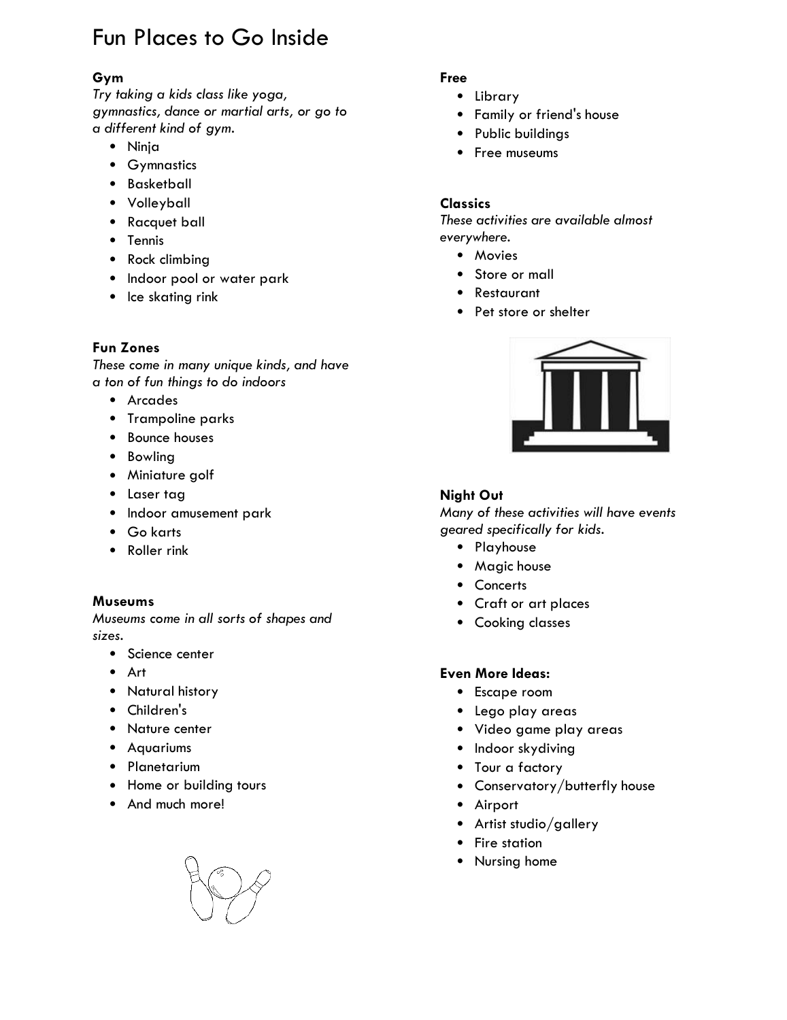# Fun Places to Go Inside

### **Gym**

*Try taking a kids class like yoga, gymnastics, dance or martial arts, or go to a different kind of gym.*

- Ninja
- Gymnastics
- Basketball
- Volleyball
- Racquet ball
- Tennis
- Rock climbing
- Indoor pool or water park
- Ice skating rink

#### **Fun Zones**

*These come in many unique kinds, and have a ton of fun things to do indoors*

- Arcades
- Trampoline parks
- Bounce houses
- Bowling
- Miniature golf
- Laser tag
- Indoor amusement park
- Go karts
- Roller rink

#### **Museums**

*Museums come in all sorts of shapes and sizes.*

- Science center
- Art
- Natural history
- Children's
- Nature center
- Aquariums
- Planetarium
- Home or building tours
- And much more!

#### **Free**

- Library
- Family or friend's house
- Public buildings
- Free museums

#### **Classics**

*These activities are available almost everywhere.*

- Movies
- Store or mall
- Restaurant
- Pet store or shelter



#### **Night Out**

*Many of these activities will have events geared specifically for kids.* 

- Playhouse
- Magic house
- Concerts
- Craft or art places
- Cooking classes

#### **Even More Ideas:**

- Escape room
- Lego play areas
- Video game play areas
- Indoor skydiving
- Tour a factory
- Conservatory/butterfly house
- Airport
- Artist studio/gallery
- Fire station
- Nursing home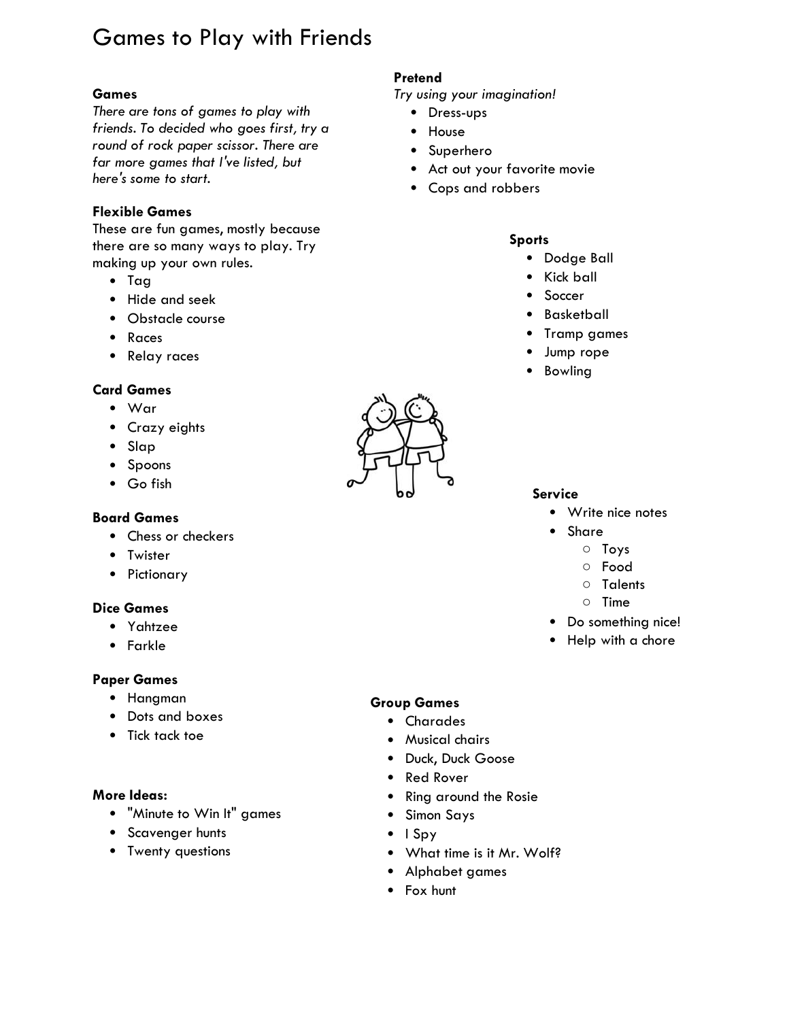# Games to Play with Friends

*There are tons of games to play with friends. To decided who goes first, try a round of rock paper scissor. There are far more games that I've listed, but here's some to start.* 

#### **Flexible Games**

These are fun games, mostly because there are so many ways to play. Try making up your own rules.

- Tag
- Hide and seek
- Obstacle course
- Races
- Relay races

#### **Card Games**

- War
- Crazy eights
- Slap
- Spoons
- Go fish

#### **Board Games**

- Chess or checkers
- Twister
- Pictionary

#### **Dice Games**

- Yahtzee
- Farkle

#### **Paper Games**

- Hangman
- Dots and boxes
- Tick tack toe

#### **More Ideas:**

- "Minute to Win It" games
- Scavenger hunts
- Twenty questions

#### **Pretend**

**Games** *Try using your imagination!*

- Dress-ups
- House
- Superhero
- Act out your favorite movie
- Cops and robbers

#### **Sports**

- Dodge Ball
- Kick ball
- Soccer
- Basketball
- Tramp games
- Jump rope
- Bowling



- Write nice notes
- Share
	- Toys
	- Food
	- Talents
	- Time
- Do something nice!
- Help with a chore

#### **Group Games**

- Charades
- Musical chairs
- Duck, Duck Goose
- Red Rover
- Ring around the Rosie
- Simon Says
- I Spy
- What time is it Mr. Wolf?
- Alphabet games
- Fox hunt

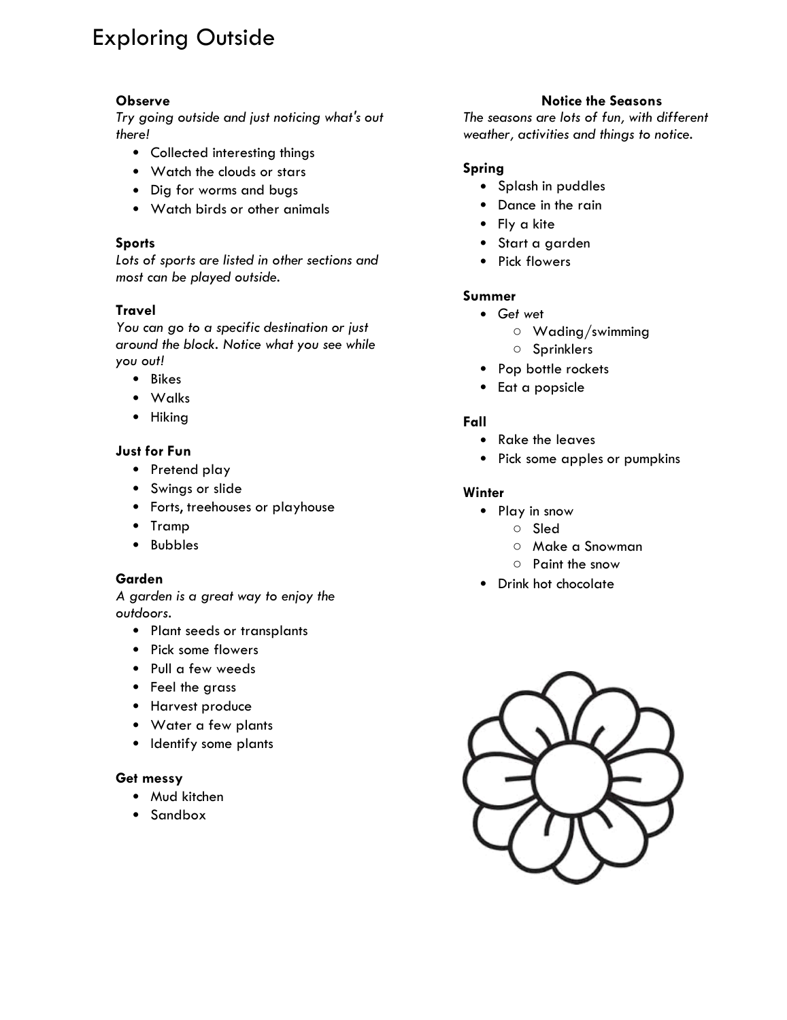# Exploring Outside

#### **Observe**

*Try going outside and just noticing what's out there!*

- Collected interesting things
- Watch the clouds or stars
- Dig for worms and bugs
- Watch birds or other animals

#### **Sports**

*Lots of sports are listed in other sections and most can be played outside.* 

#### **Travel**

*You can go to a specific destination or just around the block. Notice what you see while you out!* 

- Bikes
- Walks
- Hiking

#### **Just for Fun**

- Pretend play
- Swings or slide
- Forts, treehouses or playhouse
- Tramp
- Bubbles

#### **Garden**

*A garden is a great way to enjoy the outdoors.* 

- Plant seeds or transplants
- Pick some flowers
- Pull a few weeds
- Feel the grass
- Harvest produce
- Water a few plants
- Identify some plants

#### **Get messy**

- Mud kitchen
- Sandbox

#### **Notice the Seasons**

*The seasons are lots of fun, with different weather, activities and things to notice.* 

#### **Spring**

- Splash in puddles
- Dance in the rain
- Fly a kite
- Start a garden
- Pick flowers

#### **Summer**

- *Get we*t
	- Wading/swimming
	- Sprinklers
- Pop bottle rockets
- Eat a popsicle

#### **Fall**

- Rake the leaves
- Pick some apples or pumpkins

#### **Winter**

- Play in snow
	- Sled
	- Make a Snowman
	- Paint the snow
- Drink hot chocolate

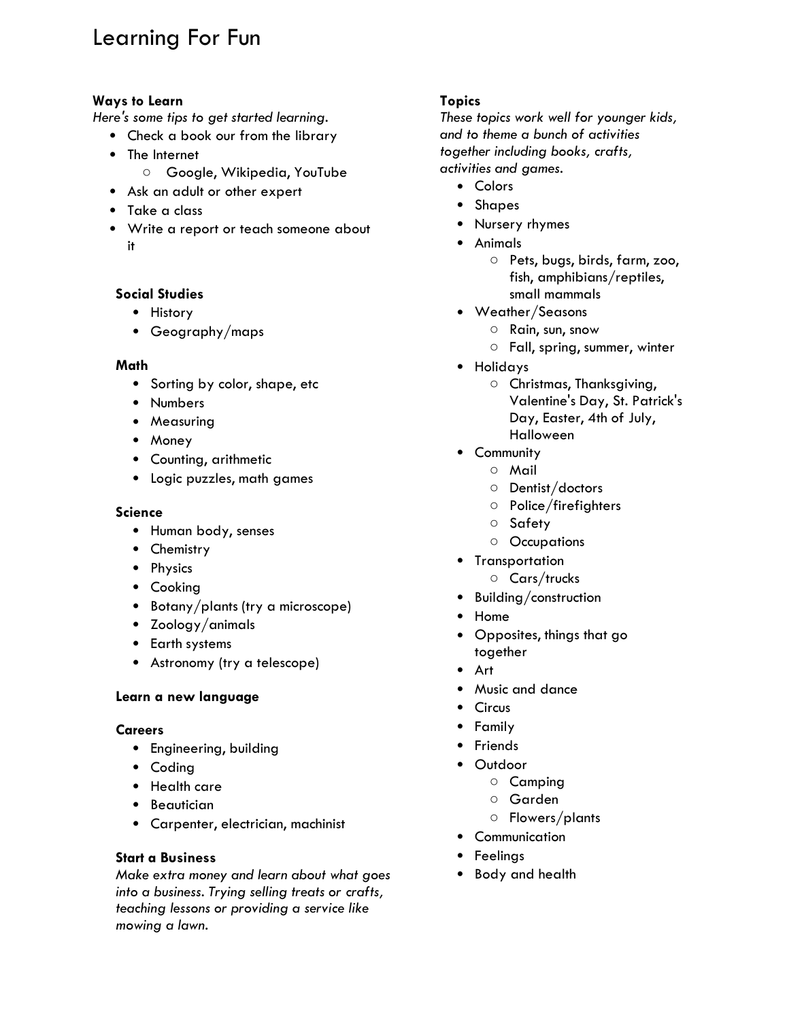# Learning For Fun

#### **Ways to Learn**

*Here's some tips to get started learning.*

- Check a book our from the library
- The Internet
	- Google, Wikipedia, YouTube
- Ask an adult or other expert
- Take a class
- Write a report or teach someone about it

#### **Social Studies**

- History
- Geography/maps

#### **Math**

- Sorting by color, shape, etc
- Numbers
- Measuring
- Money
- Counting, arithmetic
- Logic puzzles, math games

#### **Science**

- Human body, senses
- Chemistry
- Physics
- Cooking
- Botany/plants (try a microscope)
- Zoology/animals
- Earth systems
- Astronomy (try a telescope)

#### **Learn a new language**

#### **Careers**

- Engineering, building
- Coding
- Health care
- Beautician
- Carpenter, electrician, machinist

#### **Start a Business**

*Make extra money and learn about what goes into a business. Trying selling treats or crafts, teaching lessons or providing a service like mowing a lawn.* 

#### **Topics**

*These topics work well for younger kids, and to theme a bunch of activities together including books, crafts, activities and games.*

- Colors
- Shapes
- Nursery rhymes
- Animals
	- Pets, bugs, birds, farm, zoo, fish, amphibians/reptiles, small mammals
- Weather/Seasons
	- Rain, sun, snow
	- Fall, spring, summer, winter
- Holidays
	- O Christmas, Thanksgiving, Valentine's Day, St. Patrick's Day, Easter, 4th of July, Halloween
- Community
	- Mail
	- Dentist/doctors
	- Police/firefighters
	- Safety
	- Occupations
- Transportation
	- Cars/trucks
- Building/construction
- Home
- Opposites, things that go together
- Art
- Music and dance
- Circus
- Family
- Friends
- Outdoor
	- Camping
	- Garden
	- Flowers/plants
- Communication
- Feelings
- Body and health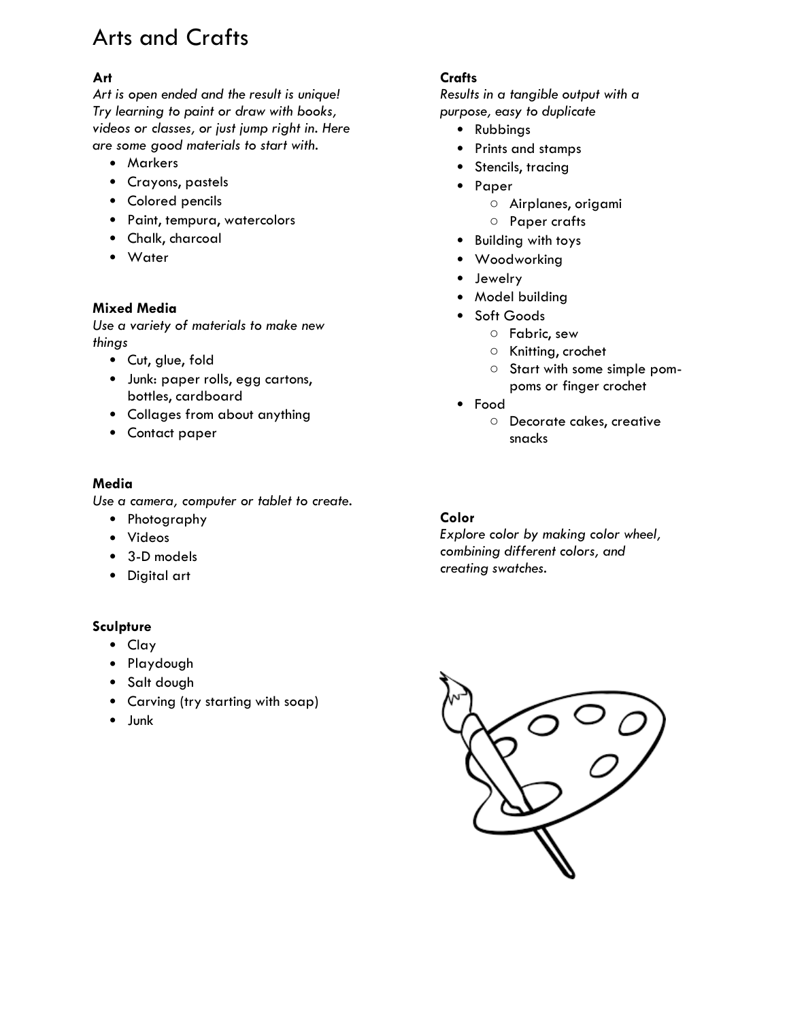# Arts and Crafts

### **Art**

*Art is open ended and the result is unique! Try learning to paint or draw with books, videos or classes, or just jump right in. Here are some good materials to start with.* 

- Markers
- Crayons, pastels
- Colored pencils
- Paint, tempura, watercolors
- Chalk, charcoal
- Water

#### **Mixed Media**

*Use a variety of materials to make new things*

- Cut, glue, fold
- Junk: paper rolls, egg cartons, bottles, cardboard
- Collages from about anything
- Contact paper

#### **Media**

*Use a camera, computer or tablet to create.* 

- Photography
- Videos
- 3-D models
- Digital art

#### **Sculpture**

- Clay
- Playdough
- Salt dough
- Carving (try starting with soap)
- Junk

#### **Crafts**

*Results in a tangible output with a purpose, easy to duplicate*

- Rubbings
- Prints and stamps
- Stencils, tracing
- Paper
	- Airplanes, origami
	- Paper crafts
- Building with toys
- Woodworking
- Jewelry
- Model building
- Soft Goods
	- Fabric, sew
	- Knitting, crochet
	- Start with some simple pompoms or finger crochet
- Food
	- Decorate cakes, creative snacks

#### **Color**

*Explore color by making color wheel, combining different colors, and creating swatches.* 

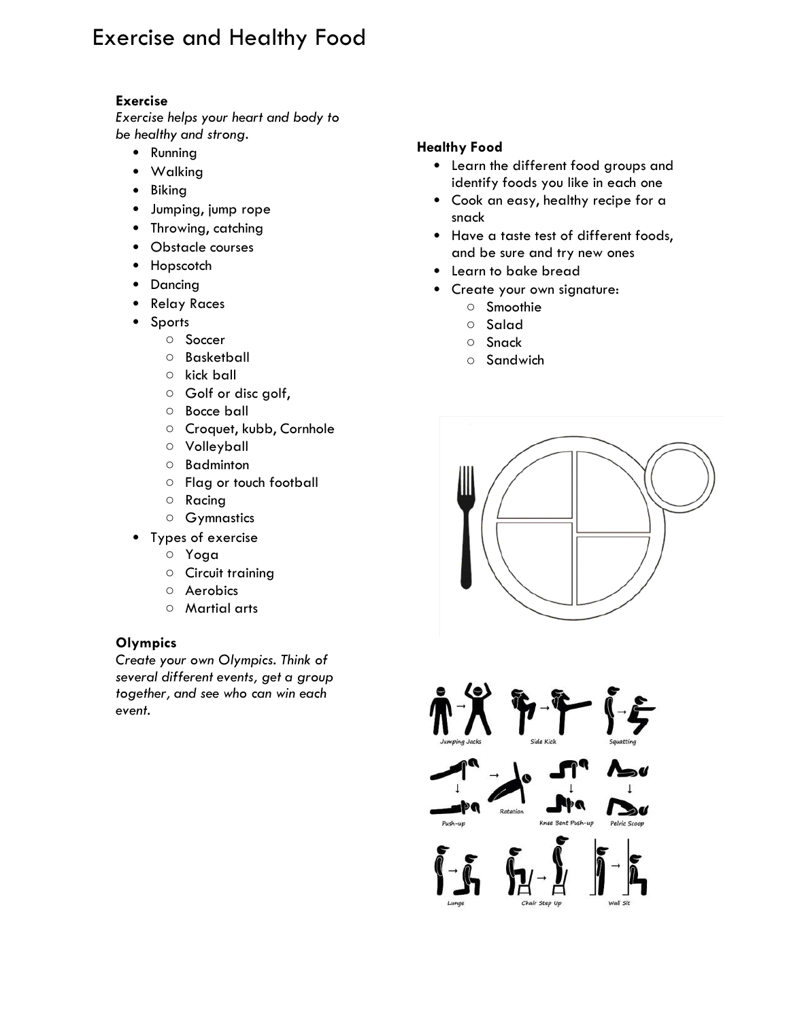# Exercise and Healthy Food

#### **Exercise**

*Exercise helps your heart and body to be healthy and strong.* 

- Running
- Walking
- Biking
- Jumping, jump rope
- Throwing, catching
- Obstacle courses
- Hopscotch
- Dancing
- Relay Races
- Sports
	- Soccer
	- Basketball
	- kick ball
	- Golf or disc golf,
	- Bocce ball
	- Croquet, kubb, Cornhole
	- Volleyball
	- Badminton
	- Flag or touch football
	- Racing
	- Gymnastics
- Types of exercise
	- Yoga
	- Circuit training
	- Aerobics
	- Martial arts

#### **Olympics**

*Create your own Olympics. Think of several different events, get a group together, and see who can win each event.* 

#### **Healthy Food**

- Learn the different food groups and identify foods you like in each one
- Cook an easy, healthy recipe for a snack
- Have a taste test of different foods, and be sure and try new ones
- Learn to bake bread
- Create your own signature:
	- Smoothie
	- Salad
	- Snack
	- Sandwich



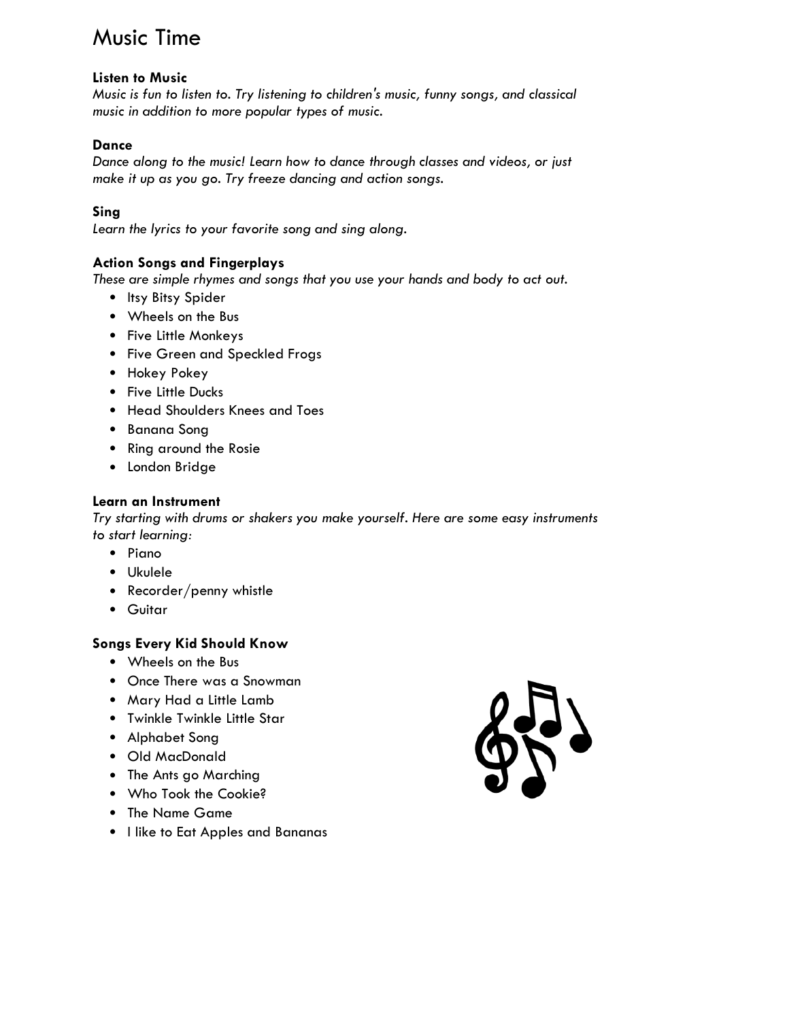### Music Time

#### **Listen to Music**

*Music is fun to listen to. Try listening to children's music, funny songs, and classical music in addition to more popular types of music.* 

#### **Dance**

*Dance along to the music! Learn how to dance through classes and videos, or just make it up as you go. Try freeze dancing and action songs.* 

#### **Sing**

*Learn the lyrics to your favorite song and sing along.*

#### **Action Songs and Fingerplays**

*These are simple rhymes and songs that you use your hands and body to act out.* 

- Itsy Bitsy Spider
- Wheels on the Bus
- Five Little Monkeys
- Five Green and Speckled Frogs
- Hokey Pokey
- Five Little Ducks
- Head Shoulders Knees and Toes
- Banana Song
- Ring around the Rosie
- London Bridge

#### **Learn an Instrument**

*Try starting with drums or shakers you make yourself. Here are some easy instruments to start learning:*

- Piano
- Ukulele
- Recorder/penny whistle
- Guitar

#### **Songs Every Kid Should Know**

- Wheels on the Bus
- Once There was a Snowman
- Mary Had a Little Lamb
- Twinkle Twinkle Little Star
- Alphabet Song
- Old MacDonald
- The Ants go Marching
- Who Took the Cookie?
- The Name Game
- I like to Eat Apples and Bananas

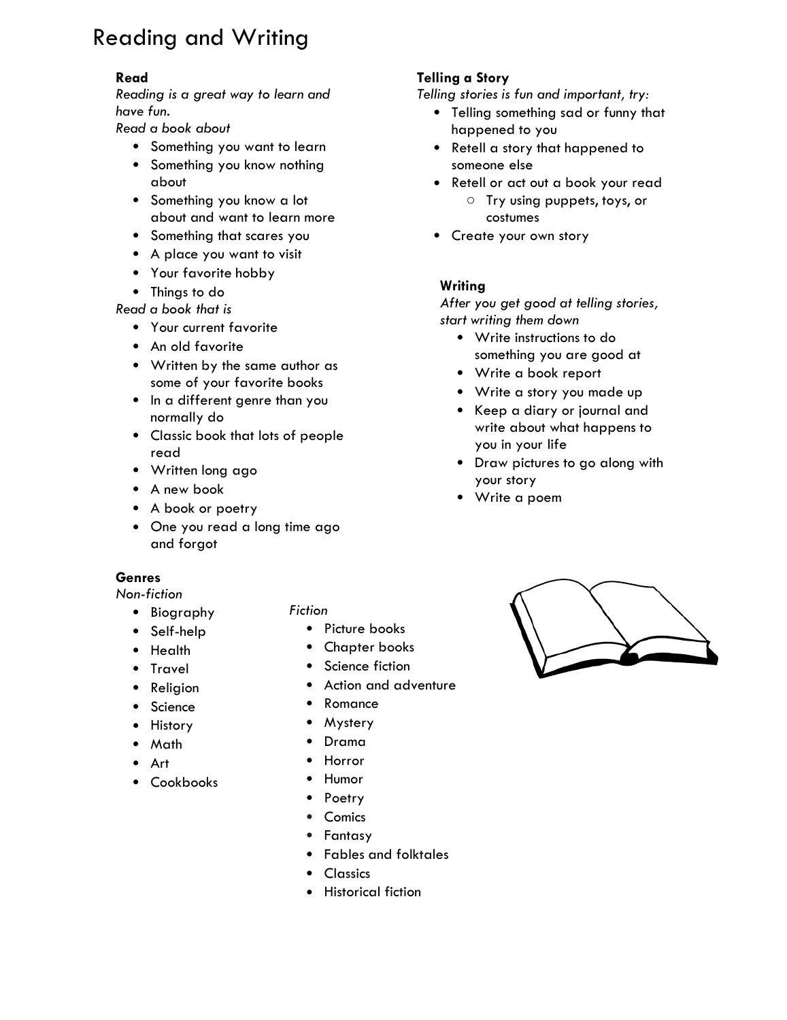# Reading and Writing

#### **Read**

*Reading is a great way to learn and have fun.* 

*Read a book about*

- Something you want to learn
- Something you know nothing about
- Something you know a lot about and want to learn more
- Something that scares you
- A place you want to visit
- Your favorite hobby
- Things to do

*Read a book that is*

- Your current favorite
- An old favorite
- Written by the same author as some of your favorite books
- In a different genre than you normally do
- Classic book that lots of people read
- Written long ago
- A new book
- A book or poetry
- One you read a long time ago and forgot

#### **Genres**

*Non-fiction*

- Biography
- Self-help
- Health
- Travel
- **Religion**
- **Science**
- **History**
- Math
- Art
- Cookbooks

#### *Fiction*

- Picture books
- Chapter books
- Science fiction
- Action and adventure
- Romance
- Mystery
- Drama
- Horror
- Humor
- Poetry
- Comics
- Fantasy
- Fables and folktales
- Classics
- Historical fiction

### **Telling a Story**

*Telling stories is fun and important, try:*

- Telling something sad or funny that happened to you
- Retell a story that happened to someone else
- Retell or act out a book your read
	- o Try using puppets, toys, or costumes
- Create your own story

#### **Writing**

*After you get good at telling stories, start writing them down*

- Write instructions to do something you are good at
- Write a book report
- Write a story you made up
- Keep a diary or journal and write about what happens to you in your life
- Draw pictures to go along with your story
- Write a poem

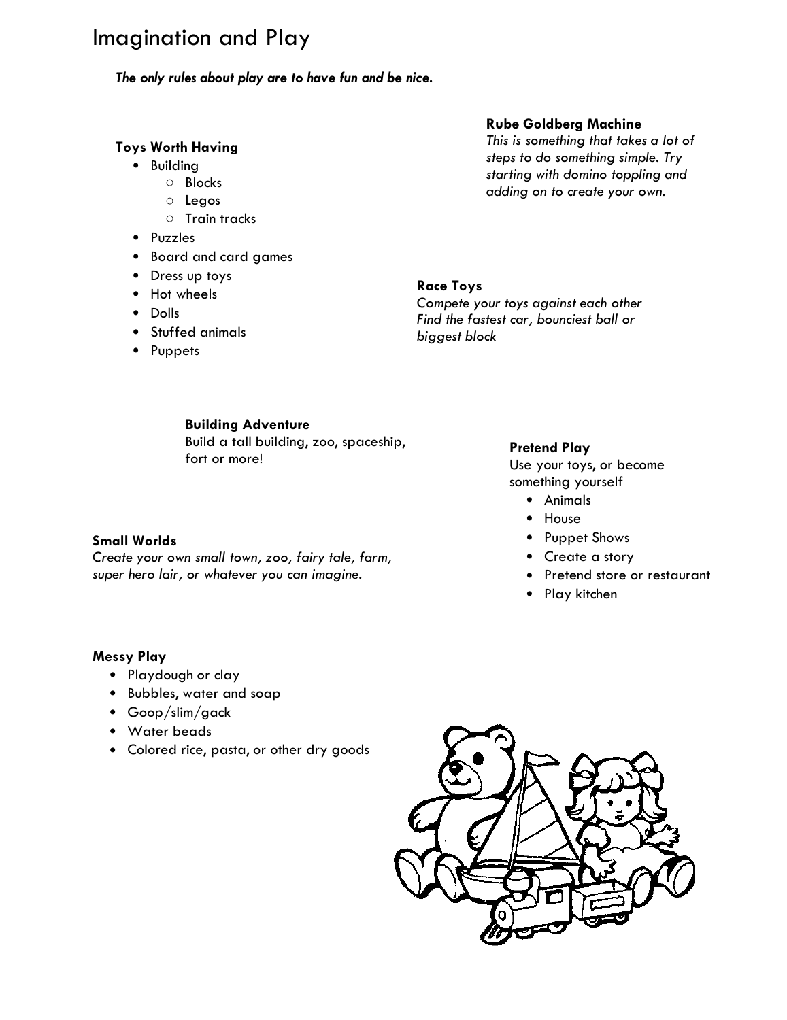### Imagination and Play

*The only rules about play are to have fun and be nice.* 

#### **Toys Worth Having**

- Building
	- Blocks
	- Legos
	- Train tracks
- Puzzles
- Board and card games
- Dress up toys
- Hot wheels
- Dolls
- Stuffed animals
- Puppets

#### **Rube Goldberg Machine**

*This is something that takes a lot of steps to do something simple. Try starting with domino toppling and adding on to create your own.*

#### **Race Toys**

*Compete your toys against each other Find the fastest car, bounciest ball or biggest block*

#### **Building Adventure**

*Create your own small town, zoo, fairy tale, farm, super hero lair, or whatever you can imagine.*

Build a tall building, zoo, spaceship, fort or more!

#### **Pretend Play**

Use your toys, or become something yourself

- Animals
- House
- Puppet Shows
- Create a story
- Pretend store or restaurant
- Play kitchen

#### **Messy Play**

**Small Worlds**

- Playdough or clay
- Bubbles, water and soap
- Goop/slim/gack
- Water beads
- Colored rice, pasta, or other dry goods

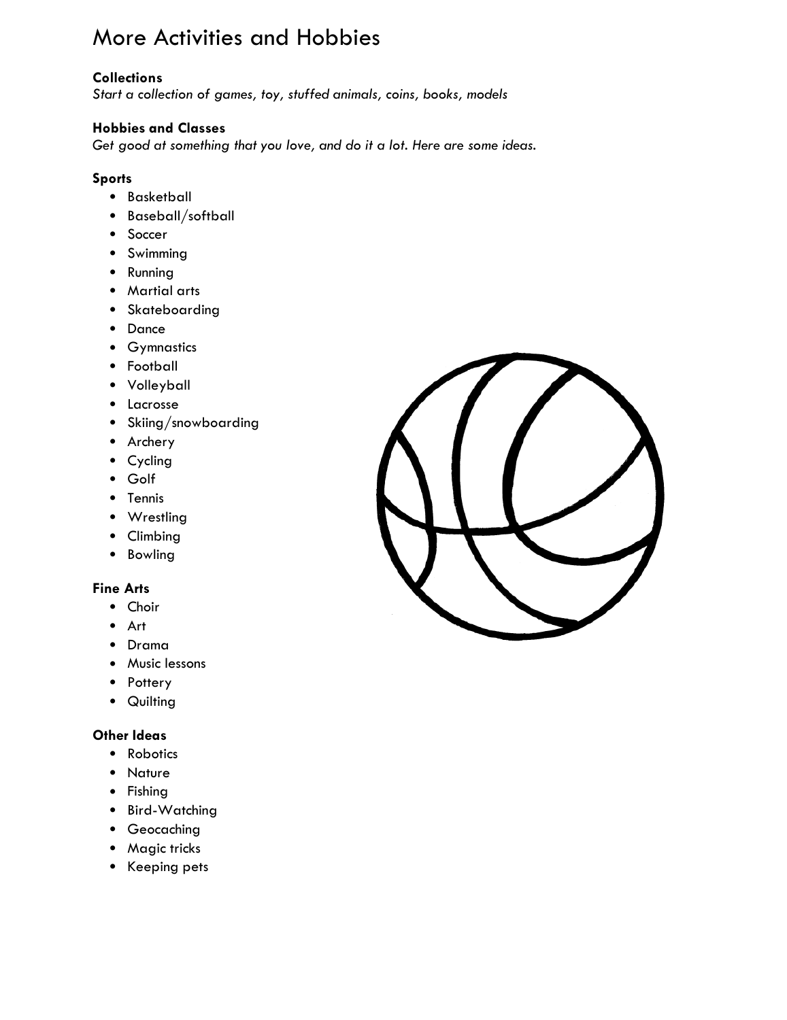# More Activities and Hobbies

#### **Collections**

*Start a collection of games, toy, stuffed animals, coins, books, models*

#### **Hobbies and Classes**

*Get good at something that you love, and do it a lot. Here are some ideas.*

#### **Sports**

- Basketball
- Baseball/softball
- Soccer
- Swimming
- Running
- Martial arts
- Skateboarding
- Dance
- Gymnastics
- Football
- Volleyball
- Lacrosse
- Skiing/snowboarding
- Archery
- Cycling
- Golf
- Tennis
- Wrestling
- Climbing
- Bowling

#### **Fine Arts**

- Choir
- Art
- Drama
- Music lessons
- Pottery
- Quilting

#### **Other Ideas**

- Robotics
- Nature
- Fishing
- Bird-Watching
- Geocaching
- Magic tricks
- Keeping pets

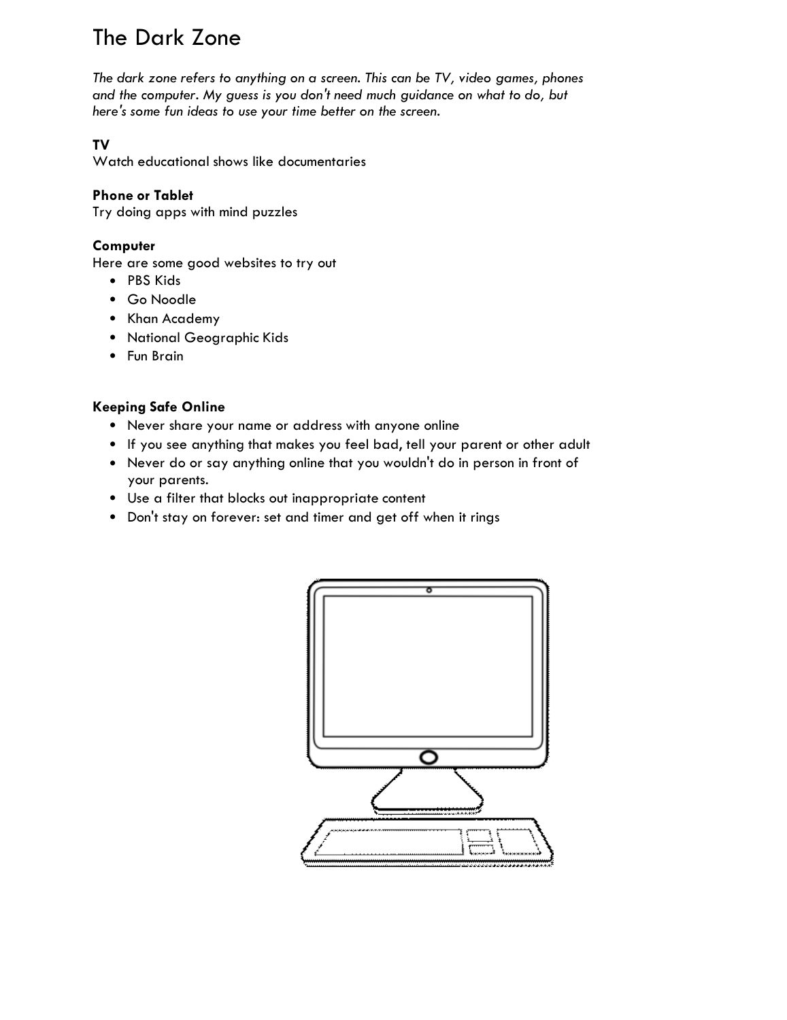# The Dark Zone

*The dark zone refers to anything on a screen. This can be TV, video games, phones and the computer. My guess is you don't need much guidance on what to do, but here's some fun ideas to use your time better on the screen.* 

### **TV**

Watch educational shows like documentaries

#### **Phone or Tablet**

Try doing apps with mind puzzles

#### **Computer**

Here are some good websites to try out

- PBS Kids
- Go Noodle
- Khan Academy
- National Geographic Kids
- Fun Brain

#### **Keeping Safe Online**

- Never share your name or address with anyone online
- If you see anything that makes you feel bad, tell your parent or other adult
- Never do or say anything online that you wouldn't do in person in front of your parents.
- Use a filter that blocks out inappropriate content
- Don't stay on forever: set and timer and get off when it rings

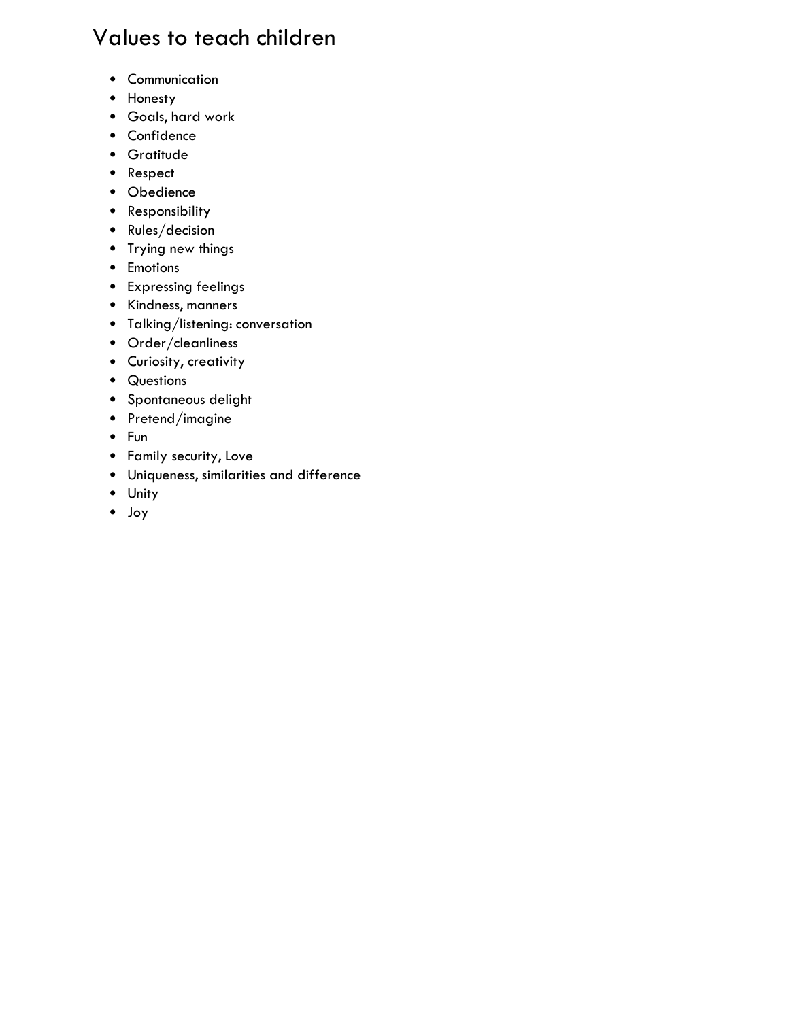# Values to teach children

- Communication
- Honesty
- Goals, hard work
- Confidence
- Gratitude
- Respect
- Obedience
- Responsibility
- Rules/decision
- Trying new things
- Emotions
- Expressing feelings
- Kindness, manners
- Talking/listening: conversation
- Order/cleanliness
- Curiosity, creativity
- Questions
- Spontaneous delight
- Pretend/imagine
- Fun
- Family security, Love
- Uniqueness, similarities and difference
- Unity
- Joy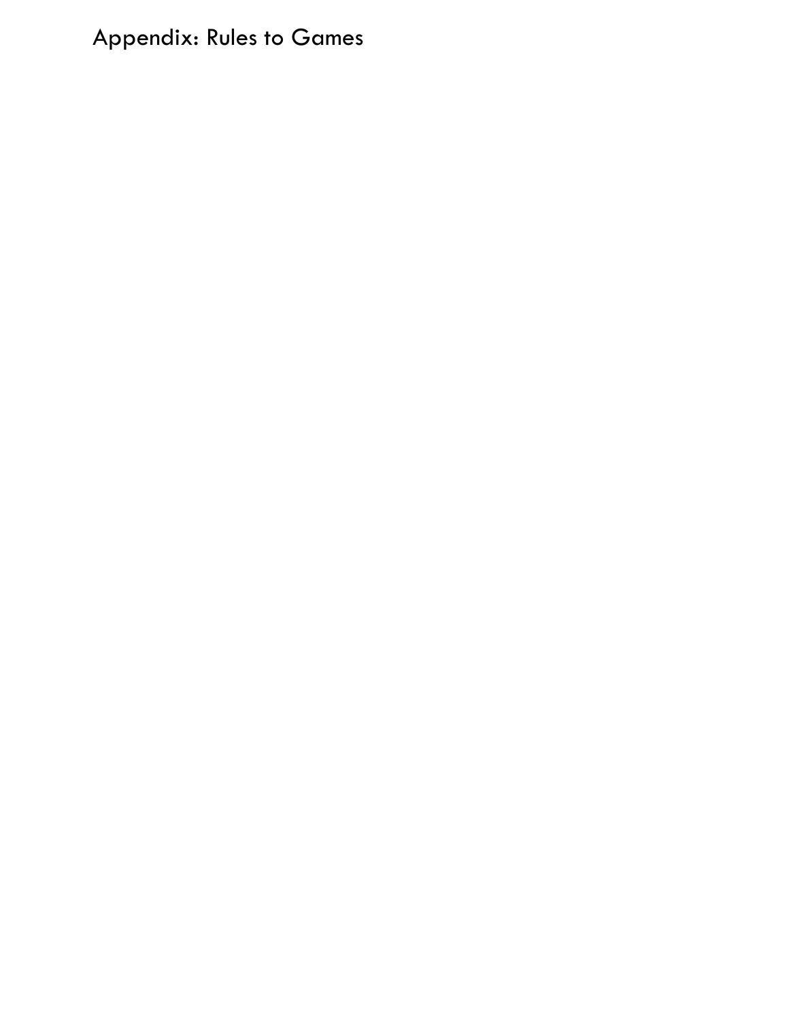# Appendix: Rules to Games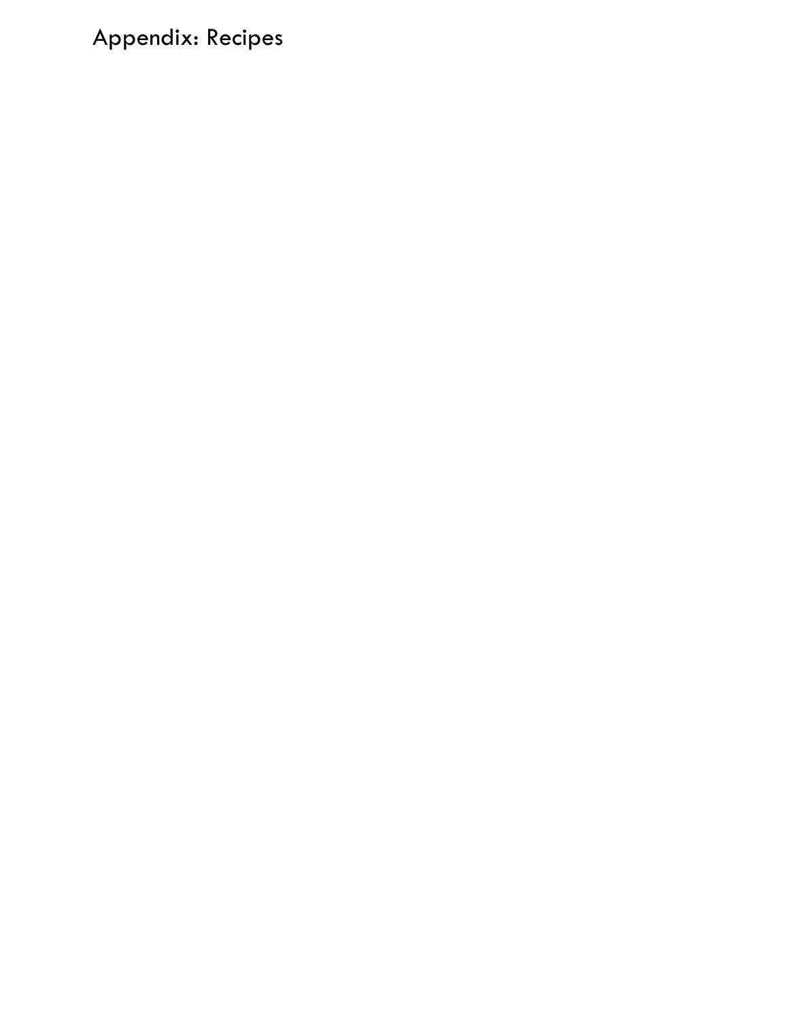# Appendix: Recipes